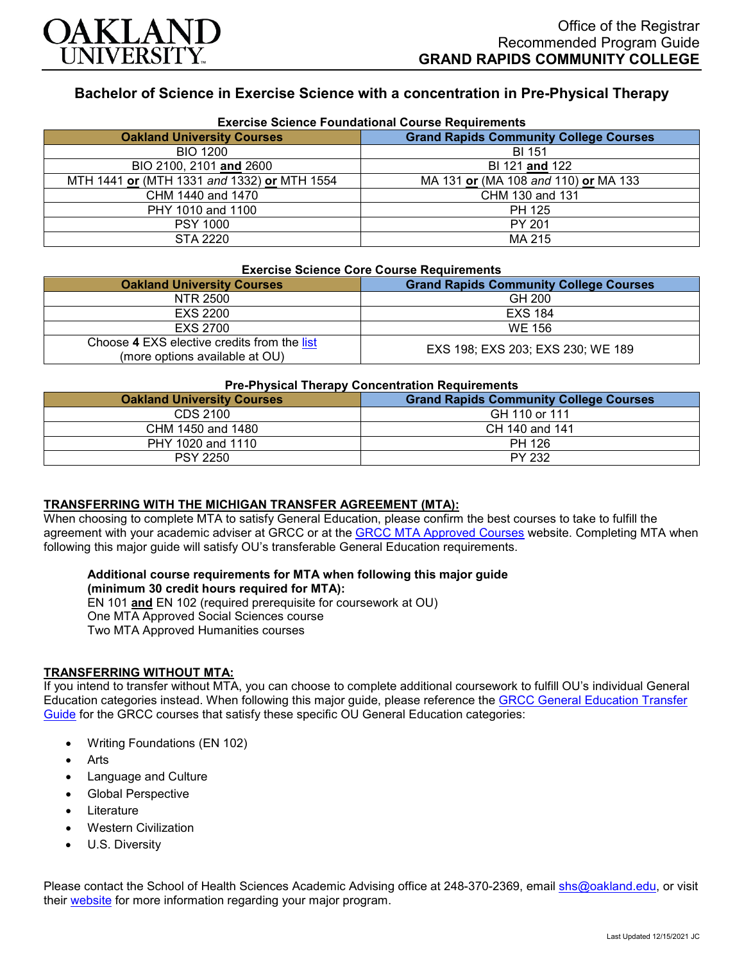

# **Bachelor of Science in Exercise Science with a concentration in Pre-Physical Therapy**

| <b>Exercise Science Foundational Course Requirements</b> |                                               |
|----------------------------------------------------------|-----------------------------------------------|
| <b>Oakland University Courses</b>                        | <b>Grand Rapids Community College Courses</b> |
| <b>BIO 1200</b>                                          | <b>BI 151</b>                                 |
| BIO 2100, 2101 and 2600                                  | BI 121 and 122                                |
| MTH 1441 or (MTH 1331 and 1332) or MTH 1554              | MA 131 or (MA 108 and 110) or MA 133          |
| CHM 1440 and 1470                                        | CHM 130 and 131                               |
| PHY 1010 and 1100                                        | PH 125                                        |
| <b>PSY 1000</b>                                          | PY 201                                        |
| STA 2220                                                 | MA 215                                        |

### **Exercise Science Core Course Requirements**

| <b>Oakland University Courses</b>                                             | <b>Grand Rapids Community College Courses</b> |
|-------------------------------------------------------------------------------|-----------------------------------------------|
| NTR 2500                                                                      | GH 200                                        |
| EXS 2200                                                                      | EXS 184                                       |
| EXS 2700                                                                      | WE 156                                        |
| Choose 4 EXS elective credits from the list<br>(more options available at OU) | EXS 198; EXS 203; EXS 230; WE 189             |

#### **Pre-Physical Therapy Concentration Requirements**

| <b>Oakland University Courses</b> | <b>Grand Rapids Community College Courses</b> |
|-----------------------------------|-----------------------------------------------|
| CDS 2100                          | GH 110 or 111                                 |
| CHM 1450 and 1480                 | CH 140 and 141                                |
| PHY 1020 and 1110                 | PH 126                                        |
| <b>PSY 2250</b>                   | <b>PY 232</b>                                 |

# **TRANSFERRING WITH THE MICHIGAN TRANSFER AGREEMENT (MTA):**

When choosing to complete MTA to satisfy General Education, please confirm the best courses to take to fulfill the agreement with your academic adviser at GRCC or at the [GRCC MTA Approved Courses](https://catalog.grcc.edu/content.php?catoid=47&navoid=3607) website. Completing MTA when following this major guide will satisfy OU's transferable General Education requirements.

### **Additional course requirements for MTA when following this major guide (minimum 30 credit hours required for MTA):**

EN 101 **and** EN 102 (required prerequisite for coursework at OU) One MTA Approved Social Sciences course Two MTA Approved Humanities courses

### **TRANSFERRING WITHOUT MTA:**

If you intend to transfer without MTA, you can choose to complete additional coursework to fulfill OU's individual General Education categories instead. When following this major guide, please reference the [GRCC General Education Transfer](https://www.oakland.edu/Assets/Oakland/program-guides/grand-rapids-community-college/university-general-education-requirements/Grand%20Rapids%20Gen%20Ed.pdf)  [Guide](https://www.oakland.edu/Assets/Oakland/program-guides/grand-rapids-community-college/university-general-education-requirements/Grand%20Rapids%20Gen%20Ed.pdf) for the GRCC courses that satisfy these specific OU General Education categories:

- Writing Foundations (EN 102)
- **Arts**
- Language and Culture
- Global Perspective
- **Literature**
- Western Civilization
- U.S. Diversity

Please contact the School of Health Sciences Academic Advising office at 248-370-2369, email [shs@oakland.edu,](mailto:shs@oakland.edu) or visit their [website](http://www.oakland.edu/shs/advising) for more information regarding your major program.